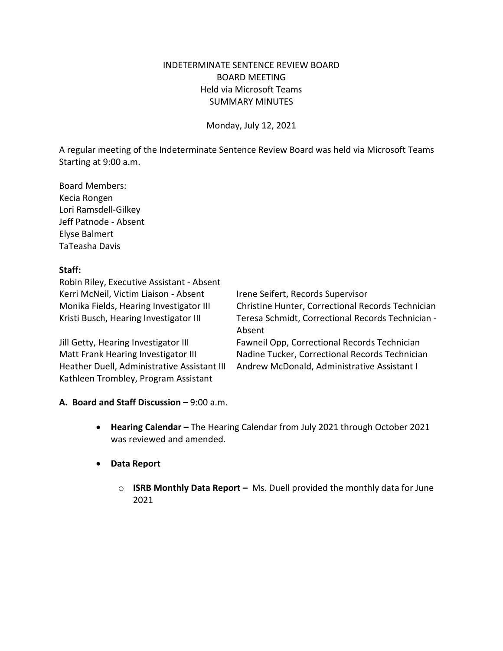# INDETERMINATE SENTENCE REVIEW BOARD BOARD MEETING Held via Microsoft Teams SUMMARY MINUTES

Monday, July 12, 2021

A regular meeting of the Indeterminate Sentence Review Board was held via Microsoft Teams Starting at 9:00 a.m.

Board Members: Kecia Rongen Lori Ramsdell-Gilkey Jeff Patnode - Absent Elyse Balmert TaTeasha Davis

#### **Staff:**

Robin Riley, Executive Assistant - Absent Kerri McNeil, Victim Liaison - Absent Irene Seifert, Records Supervisor

Heather Duell, Administrative Assistant III Andrew McDonald, Administrative Assistant I Kathleen Trombley, Program Assistant

Monika Fields, Hearing Investigator III Christine Hunter, Correctional Records Technician Kristi Busch, Hearing Investigator III Teresa Schmidt, Correctional Records Technician -Absent Jill Getty, Hearing Investigator III Fawneil Opp, Correctional Records Technician Matt Frank Hearing Investigator III Nadine Tucker, Correctional Records Technician

# **A. Board and Staff Discussion –** 9:00 a.m.

- **Hearing Calendar –** The Hearing Calendar from July 2021 through October 2021 was reviewed and amended.
- **Data Report**
	- o **ISRB Monthly Data Report –** Ms. Duell provided the monthly data for June 2021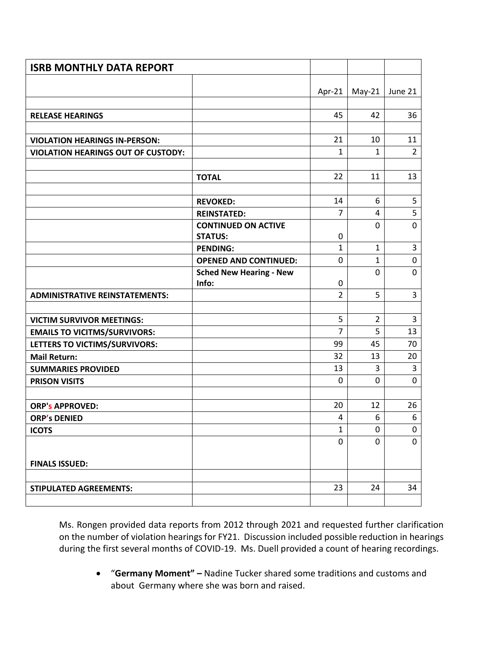| <b>ISRB MONTHLY DATA REPORT</b>           |                                         |                     |                |                |
|-------------------------------------------|-----------------------------------------|---------------------|----------------|----------------|
|                                           |                                         |                     |                |                |
|                                           |                                         | Apr-21              | $May-21$       | June 21        |
|                                           |                                         |                     |                |                |
| <b>RELEASE HEARINGS</b>                   |                                         | 45                  | 42             | 36             |
|                                           |                                         |                     |                |                |
| <b>VIOLATION HEARINGS IN-PERSON:</b>      |                                         | 21                  | 10             | 11             |
| <b>VIOLATION HEARINGS OUT OF CUSTODY:</b> |                                         | $\mathbf{1}$        | 1              | $\overline{2}$ |
|                                           |                                         |                     |                |                |
|                                           | <b>TOTAL</b>                            | 22                  | 11             | 13             |
|                                           |                                         |                     |                |                |
|                                           | <b>REVOKED:</b>                         | 14                  | 6              | 5              |
|                                           | <b>REINSTATED:</b>                      | $\overline{7}$      | 4              | 5              |
|                                           | <b>CONTINUED ON ACTIVE</b>              |                     | 0              | 0              |
|                                           | <b>STATUS:</b>                          | 0                   |                |                |
|                                           | <b>PENDING:</b>                         | $\mathbf{1}$        | $\mathbf{1}$   | 3              |
|                                           | <b>OPENED AND CONTINUED:</b>            | 0                   | $\mathbf{1}$   | 0              |
|                                           | <b>Sched New Hearing - New</b><br>Info: |                     | 0              | 0              |
| <b>ADMINISTRATIVE REINSTATEMENTS:</b>     |                                         | 0<br>$\overline{2}$ | 5              | 3              |
|                                           |                                         |                     |                |                |
| <b>VICTIM SURVIVOR MEETINGS:</b>          |                                         | 5                   | $\overline{2}$ | 3              |
| <b>EMAILS TO VICITMS/SURVIVORS:</b>       |                                         | $\overline{7}$      | 5              | 13             |
| LETTERS TO VICTIMS/SURVIVORS:             |                                         | 99                  | 45             | 70             |
| <b>Mail Return:</b>                       |                                         | 32                  | 13             | 20             |
| <b>SUMMARIES PROVIDED</b>                 |                                         | 13                  | 3              | 3              |
| <b>PRISON VISITS</b>                      |                                         | 0                   | 0              | 0              |
|                                           |                                         |                     |                |                |
| <b>ORP's APPROVED:</b>                    |                                         | 20                  | 12             | 26             |
| <b>ORP's DENIED</b>                       |                                         | 4                   | 6              | 6              |
| <b>ICOTS</b>                              |                                         | 1                   | 0              | 0              |
|                                           |                                         | 0                   | 0              | 0              |
|                                           |                                         |                     |                |                |
| <b>FINALS ISSUED:</b>                     |                                         |                     |                |                |
|                                           |                                         |                     |                |                |
| <b>STIPULATED AGREEMENTS:</b>             |                                         | 23                  | 24             | 34             |
|                                           |                                         |                     |                |                |

Ms. Rongen provided data reports from 2012 through 2021 and requested further clarification on the number of violation hearings for FY21. Discussion included possible reduction in hearings during the first several months of COVID-19. Ms. Duell provided a count of hearing recordings.

• "**Germany Moment" –** Nadine Tucker shared some traditions and customs and about Germany where she was born and raised.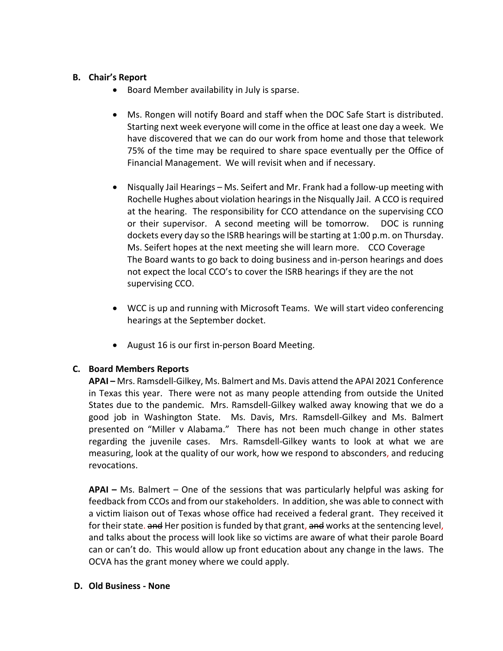# **B. Chair's Report**

- Board Member availability in July is sparse.
- Ms. Rongen will notify Board and staff when the DOC Safe Start is distributed. Starting next week everyone will come in the office at least one day a week. We have discovered that we can do our work from home and those that telework 75% of the time may be required to share space eventually per the Office of Financial Management. We will revisit when and if necessary.
- Nisqually Jail Hearings Ms. Seifert and Mr. Frank had a follow-up meeting with Rochelle Hughes about violation hearings in the Nisqually Jail. A CCO is required at the hearing. The responsibility for CCO attendance on the supervising CCO or their supervisor. A second meeting will be tomorrow. DOC is running dockets every day so the ISRB hearings will be starting at 1:00 p.m. on Thursday. Ms. Seifert hopes at the next meeting she will learn more. CCO Coverage The Board wants to go back to doing business and in-person hearings and does not expect the local CCO's to cover the ISRB hearings if they are the not supervising CCO.
- WCC is up and running with Microsoft Teams. We will start video conferencing hearings at the September docket.
- August 16 is our first in-person Board Meeting.

# **C. Board Members Reports**

**APAI –** Mrs. Ramsdell-Gilkey, Ms. Balmert and Ms. Davis attend the APAI 2021 Conference in Texas this year. There were not as many people attending from outside the United States due to the pandemic. Mrs. Ramsdell-Gilkey walked away knowing that we do a good job in Washington State. Ms. Davis, Mrs. Ramsdell-Gilkey and Ms. Balmert presented on "Miller v Alabama." There has not been much change in other states regarding the juvenile cases. Mrs. Ramsdell-Gilkey wants to look at what we are measuring, look at the quality of our work, how we respond to absconders, and reducing revocations.

**APAI –** Ms. Balmert – One of the sessions that was particularly helpful was asking for feedback from CCOs and from our stakeholders. In addition, she was able to connect with a victim liaison out of Texas whose office had received a federal grant. They received it for their state. and Her position is funded by that grant, and works at the sentencing level, and talks about the process will look like so victims are aware of what their parole Board can or can't do. This would allow up front education about any change in the laws. The OCVA has the grant money where we could apply.

# **D. Old Business - None**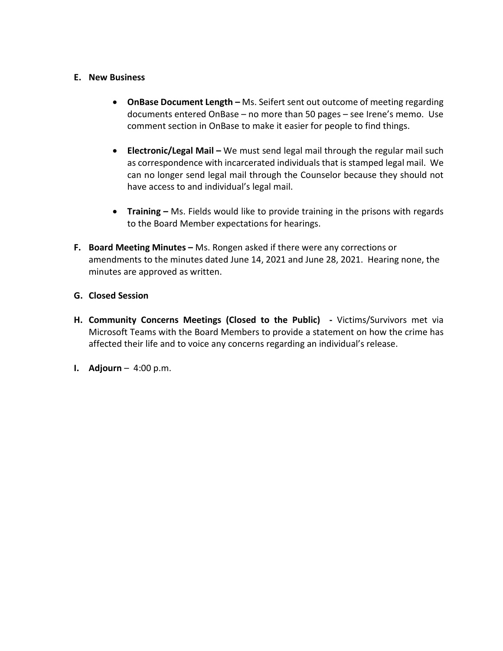#### **E. New Business**

- **OnBase Document Length –** Ms. Seifert sent out outcome of meeting regarding documents entered OnBase – no more than 50 pages – see Irene's memo. Use comment section in OnBase to make it easier for people to find things.
- **Electronic/Legal Mail –** We must send legal mail through the regular mail such as correspondence with incarcerated individuals that is stamped legal mail. We can no longer send legal mail through the Counselor because they should not have access to and individual's legal mail.
- **Training –** Ms. Fields would like to provide training in the prisons with regards to the Board Member expectations for hearings.
- **F. Board Meeting Minutes –** Ms. Rongen asked if there were any corrections or amendments to the minutes dated June 14, 2021 and June 28, 2021. Hearing none, the minutes are approved as written.

#### **G. Closed Session**

- **H. Community Concerns Meetings (Closed to the Public) -** Victims/Survivors met via Microsoft Teams with the Board Members to provide a statement on how the crime has affected their life and to voice any concerns regarding an individual's release.
- **I. Adjourn** 4:00 p.m.